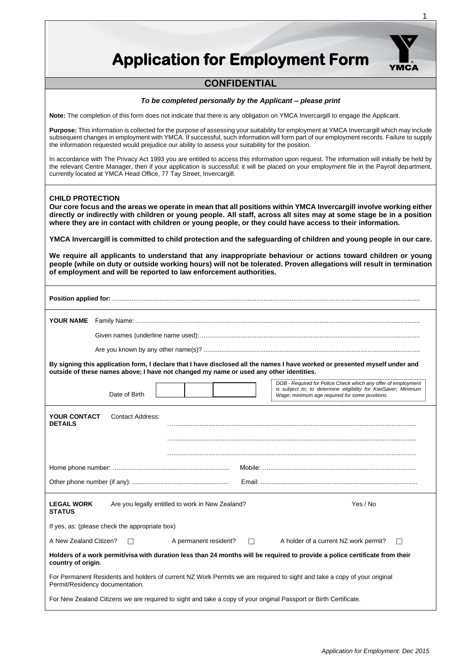| <b>Application for Employment Form</b>                                                                                                                                                                                                                                                                                                                                                                                                                                                                 |  |  |  |
|--------------------------------------------------------------------------------------------------------------------------------------------------------------------------------------------------------------------------------------------------------------------------------------------------------------------------------------------------------------------------------------------------------------------------------------------------------------------------------------------------------|--|--|--|
| <b>CONFIDENTIAL</b>                                                                                                                                                                                                                                                                                                                                                                                                                                                                                    |  |  |  |
| To be completed personally by the Applicant – please print                                                                                                                                                                                                                                                                                                                                                                                                                                             |  |  |  |
| Note: The completion of this form does not indicate that there is any obligation on YMCA Invercargill to engage the Applicant.                                                                                                                                                                                                                                                                                                                                                                         |  |  |  |
| Purpose: This information is collected for the purpose of assessing your suitability for employment at YMCA Invercargill which may include<br>subsequent changes in employment with YMCA. If successful, such information will form part of our employment records. Failure to supply<br>the information requested would prejudice our ability to assess your suitability for the position.                                                                                                            |  |  |  |
| In accordance with The Privacy Act 1993 you are entitled to access this information upon request. The information will initially be held by<br>the relevant Centre Manager, then if your application is successful; it will be placed on your employment file in the Payroll department,<br>currently located at YMCA Head Office, 77 Tay Street, Invercargill.                                                                                                                                        |  |  |  |
| <b>CHILD PROTECTION</b><br>Our core focus and the areas we operate in mean that all positions within YMCA Invercargill involve working either<br>directly or indirectly with children or young people. All staff, across all sites may at some stage be in a position<br>where they are in contact with children or young people, or they could have access to their information.<br>YMCA Invercargill is committed to child protection and the safeguarding of children and young people in our care. |  |  |  |
| We require all applicants to understand that any inappropriate behaviour or actions toward children or young<br>people (while on duty or outside working hours) will not be tolerated. Proven allegations will result in termination<br>of employment and will be reported to law enforcement authorities.                                                                                                                                                                                             |  |  |  |
|                                                                                                                                                                                                                                                                                                                                                                                                                                                                                                        |  |  |  |
|                                                                                                                                                                                                                                                                                                                                                                                                                                                                                                        |  |  |  |
|                                                                                                                                                                                                                                                                                                                                                                                                                                                                                                        |  |  |  |
|                                                                                                                                                                                                                                                                                                                                                                                                                                                                                                        |  |  |  |
| By signing this application form, I declare that I have disclosed all the names I have worked or presented myself under and<br>outside of these names above; I have not changed my name or used any other identities.                                                                                                                                                                                                                                                                                  |  |  |  |
| DOB - Required for Police Check which any offer of employment<br>is subject to; to determine eligibility for KiwiSaver; Minimum<br>Date of Birth<br>Wage; minimum age required for some positions.                                                                                                                                                                                                                                                                                                     |  |  |  |
| <b>Contact Address:</b><br><b>YOUR CONTACT</b><br><b>DETAILS</b>                                                                                                                                                                                                                                                                                                                                                                                                                                       |  |  |  |
|                                                                                                                                                                                                                                                                                                                                                                                                                                                                                                        |  |  |  |
|                                                                                                                                                                                                                                                                                                                                                                                                                                                                                                        |  |  |  |
|                                                                                                                                                                                                                                                                                                                                                                                                                                                                                                        |  |  |  |
| Yes / No<br><b>LEGAL WORK</b><br>Are you legally entitled to work in New Zealand?<br><b>STATUS</b>                                                                                                                                                                                                                                                                                                                                                                                                     |  |  |  |
| If yes, as: (please check the appropriate box)                                                                                                                                                                                                                                                                                                                                                                                                                                                         |  |  |  |
| A New Zealand Citizen?<br>A permanent resident?<br>A holder of a current NZ work permit?<br>П<br>П<br>П                                                                                                                                                                                                                                                                                                                                                                                                |  |  |  |
| Holders of a work permit/visa with duration less than 24 months will be required to provide a police certificate from their<br>country of origin.                                                                                                                                                                                                                                                                                                                                                      |  |  |  |
| For Permanent Residents and holders of current NZ Work Permits we are required to sight and take a copy of your original                                                                                                                                                                                                                                                                                                                                                                               |  |  |  |

Permit/Residency documentation. For New Zealand Citizens we are required to sight and take a copy of your original Passport or Birth Certificate. 1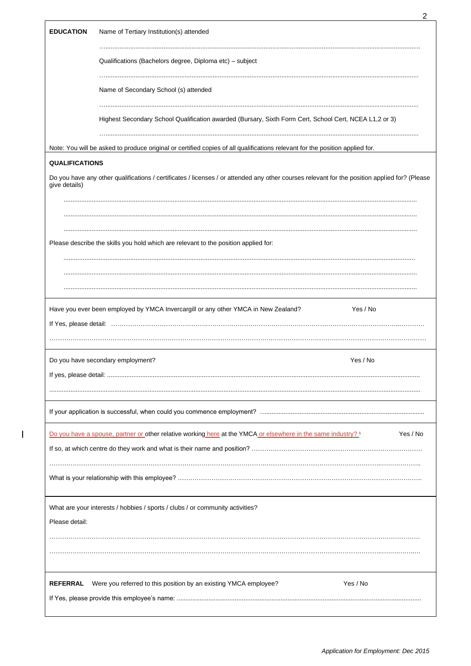| <b>EDUCATION</b><br>Name of Tertiary Institution(s) attended<br>Qualifications (Bachelors degree, Diploma etc) - subject<br>Name of Secondary School (s) attended<br>Highest Secondary School Qualification awarded (Bursary, Sixth Form Cert, School Cert, NCEA L1,2 or 3)<br>Note: You will be asked to produce original or certified copies of all qualifications relevant for the position applied for.<br><b>QUALIFICATIONS</b><br>Do you have any other qualifications / certificates / licenses / or attended any other courses relevant for the position applied for? (Please<br>give details)<br>Please describe the skills you hold which are relevant to the position applied for:<br>Yes / No<br>Have you ever been employed by YMCA Invercargill or any other YMCA in New Zealand?<br>Yes / No<br>Do you have secondary employment?<br>Yes / No<br>Do you have a spouse, partner or other relative working here at the YMCA or elsewhere in the same industry? <sup>1</sup><br>What are your interests / hobbies / sports / clubs / or community activities?<br>Please detail:<br>Yes / No<br><b>REFERRAL</b><br>Were you referred to this position by an existing YMCA employee? |  | 2 |
|------------------------------------------------------------------------------------------------------------------------------------------------------------------------------------------------------------------------------------------------------------------------------------------------------------------------------------------------------------------------------------------------------------------------------------------------------------------------------------------------------------------------------------------------------------------------------------------------------------------------------------------------------------------------------------------------------------------------------------------------------------------------------------------------------------------------------------------------------------------------------------------------------------------------------------------------------------------------------------------------------------------------------------------------------------------------------------------------------------------------------------------------------------------------------------------------|--|---|
|                                                                                                                                                                                                                                                                                                                                                                                                                                                                                                                                                                                                                                                                                                                                                                                                                                                                                                                                                                                                                                                                                                                                                                                                |  |   |
|                                                                                                                                                                                                                                                                                                                                                                                                                                                                                                                                                                                                                                                                                                                                                                                                                                                                                                                                                                                                                                                                                                                                                                                                |  |   |
|                                                                                                                                                                                                                                                                                                                                                                                                                                                                                                                                                                                                                                                                                                                                                                                                                                                                                                                                                                                                                                                                                                                                                                                                |  |   |
|                                                                                                                                                                                                                                                                                                                                                                                                                                                                                                                                                                                                                                                                                                                                                                                                                                                                                                                                                                                                                                                                                                                                                                                                |  |   |
|                                                                                                                                                                                                                                                                                                                                                                                                                                                                                                                                                                                                                                                                                                                                                                                                                                                                                                                                                                                                                                                                                                                                                                                                |  |   |
|                                                                                                                                                                                                                                                                                                                                                                                                                                                                                                                                                                                                                                                                                                                                                                                                                                                                                                                                                                                                                                                                                                                                                                                                |  |   |
|                                                                                                                                                                                                                                                                                                                                                                                                                                                                                                                                                                                                                                                                                                                                                                                                                                                                                                                                                                                                                                                                                                                                                                                                |  |   |
|                                                                                                                                                                                                                                                                                                                                                                                                                                                                                                                                                                                                                                                                                                                                                                                                                                                                                                                                                                                                                                                                                                                                                                                                |  |   |
|                                                                                                                                                                                                                                                                                                                                                                                                                                                                                                                                                                                                                                                                                                                                                                                                                                                                                                                                                                                                                                                                                                                                                                                                |  |   |
|                                                                                                                                                                                                                                                                                                                                                                                                                                                                                                                                                                                                                                                                                                                                                                                                                                                                                                                                                                                                                                                                                                                                                                                                |  |   |
|                                                                                                                                                                                                                                                                                                                                                                                                                                                                                                                                                                                                                                                                                                                                                                                                                                                                                                                                                                                                                                                                                                                                                                                                |  |   |
|                                                                                                                                                                                                                                                                                                                                                                                                                                                                                                                                                                                                                                                                                                                                                                                                                                                                                                                                                                                                                                                                                                                                                                                                |  |   |
|                                                                                                                                                                                                                                                                                                                                                                                                                                                                                                                                                                                                                                                                                                                                                                                                                                                                                                                                                                                                                                                                                                                                                                                                |  |   |
|                                                                                                                                                                                                                                                                                                                                                                                                                                                                                                                                                                                                                                                                                                                                                                                                                                                                                                                                                                                                                                                                                                                                                                                                |  |   |
|                                                                                                                                                                                                                                                                                                                                                                                                                                                                                                                                                                                                                                                                                                                                                                                                                                                                                                                                                                                                                                                                                                                                                                                                |  |   |
|                                                                                                                                                                                                                                                                                                                                                                                                                                                                                                                                                                                                                                                                                                                                                                                                                                                                                                                                                                                                                                                                                                                                                                                                |  |   |
|                                                                                                                                                                                                                                                                                                                                                                                                                                                                                                                                                                                                                                                                                                                                                                                                                                                                                                                                                                                                                                                                                                                                                                                                |  |   |
|                                                                                                                                                                                                                                                                                                                                                                                                                                                                                                                                                                                                                                                                                                                                                                                                                                                                                                                                                                                                                                                                                                                                                                                                |  |   |
|                                                                                                                                                                                                                                                                                                                                                                                                                                                                                                                                                                                                                                                                                                                                                                                                                                                                                                                                                                                                                                                                                                                                                                                                |  |   |
|                                                                                                                                                                                                                                                                                                                                                                                                                                                                                                                                                                                                                                                                                                                                                                                                                                                                                                                                                                                                                                                                                                                                                                                                |  |   |
|                                                                                                                                                                                                                                                                                                                                                                                                                                                                                                                                                                                                                                                                                                                                                                                                                                                                                                                                                                                                                                                                                                                                                                                                |  |   |
|                                                                                                                                                                                                                                                                                                                                                                                                                                                                                                                                                                                                                                                                                                                                                                                                                                                                                                                                                                                                                                                                                                                                                                                                |  |   |
|                                                                                                                                                                                                                                                                                                                                                                                                                                                                                                                                                                                                                                                                                                                                                                                                                                                                                                                                                                                                                                                                                                                                                                                                |  |   |

 $\begin{array}{c} \hline \end{array}$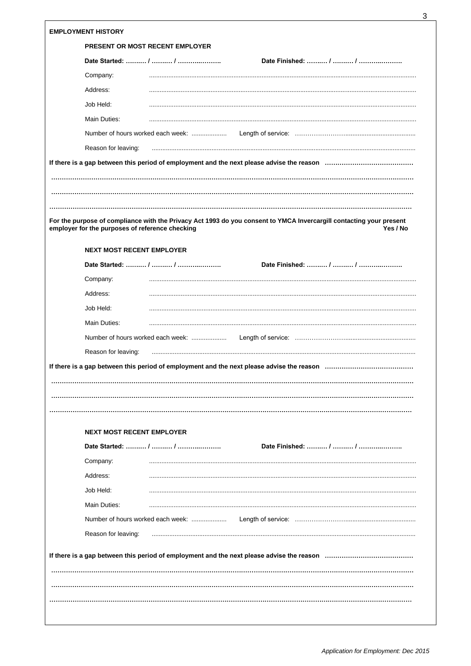| Company:<br>Address:<br>Job Held:<br>Main Duties:<br>Reason for leaving: | <b>PRESENT OR MOST RECENT EMPLOYER</b><br>Number of hours worked each week:                                                                          |                                                                                                                         |                                   |                                                                                                                                                                                                                  |
|--------------------------------------------------------------------------|------------------------------------------------------------------------------------------------------------------------------------------------------|-------------------------------------------------------------------------------------------------------------------------|-----------------------------------|------------------------------------------------------------------------------------------------------------------------------------------------------------------------------------------------------------------|
|                                                                          |                                                                                                                                                      |                                                                                                                         |                                   |                                                                                                                                                                                                                  |
|                                                                          |                                                                                                                                                      |                                                                                                                         |                                   |                                                                                                                                                                                                                  |
|                                                                          |                                                                                                                                                      |                                                                                                                         |                                   |                                                                                                                                                                                                                  |
|                                                                          |                                                                                                                                                      |                                                                                                                         |                                   |                                                                                                                                                                                                                  |
|                                                                          |                                                                                                                                                      |                                                                                                                         |                                   |                                                                                                                                                                                                                  |
|                                                                          |                                                                                                                                                      |                                                                                                                         |                                   |                                                                                                                                                                                                                  |
|                                                                          |                                                                                                                                                      |                                                                                                                         |                                   |                                                                                                                                                                                                                  |
|                                                                          |                                                                                                                                                      |                                                                                                                         |                                   |                                                                                                                                                                                                                  |
|                                                                          |                                                                                                                                                      |                                                                                                                         |                                   |                                                                                                                                                                                                                  |
|                                                                          |                                                                                                                                                      |                                                                                                                         |                                   |                                                                                                                                                                                                                  |
|                                                                          |                                                                                                                                                      |                                                                                                                         |                                   |                                                                                                                                                                                                                  |
|                                                                          |                                                                                                                                                      |                                                                                                                         |                                   |                                                                                                                                                                                                                  |
|                                                                          |                                                                                                                                                      |                                                                                                                         |                                   | Yes / No                                                                                                                                                                                                         |
|                                                                          |                                                                                                                                                      |                                                                                                                         |                                   |                                                                                                                                                                                                                  |
|                                                                          |                                                                                                                                                      |                                                                                                                         |                                   |                                                                                                                                                                                                                  |
|                                                                          |                                                                                                                                                      |                                                                                                                         |                                   |                                                                                                                                                                                                                  |
|                                                                          |                                                                                                                                                      |                                                                                                                         |                                   |                                                                                                                                                                                                                  |
|                                                                          |                                                                                                                                                      |                                                                                                                         |                                   |                                                                                                                                                                                                                  |
|                                                                          |                                                                                                                                                      |                                                                                                                         |                                   |                                                                                                                                                                                                                  |
|                                                                          |                                                                                                                                                      |                                                                                                                         |                                   |                                                                                                                                                                                                                  |
|                                                                          |                                                                                                                                                      |                                                                                                                         |                                   |                                                                                                                                                                                                                  |
|                                                                          |                                                                                                                                                      |                                                                                                                         |                                   |                                                                                                                                                                                                                  |
|                                                                          |                                                                                                                                                      |                                                                                                                         |                                   |                                                                                                                                                                                                                  |
|                                                                          |                                                                                                                                                      |                                                                                                                         |                                   |                                                                                                                                                                                                                  |
|                                                                          |                                                                                                                                                      |                                                                                                                         |                                   |                                                                                                                                                                                                                  |
|                                                                          |                                                                                                                                                      |                                                                                                                         |                                   |                                                                                                                                                                                                                  |
|                                                                          |                                                                                                                                                      |                                                                                                                         |                                   |                                                                                                                                                                                                                  |
|                                                                          |                                                                                                                                                      |                                                                                                                         |                                   |                                                                                                                                                                                                                  |
|                                                                          |                                                                                                                                                      |                                                                                                                         |                                   |                                                                                                                                                                                                                  |
|                                                                          |                                                                                                                                                      |                                                                                                                         |                                   |                                                                                                                                                                                                                  |
|                                                                          |                                                                                                                                                      |                                                                                                                         |                                   |                                                                                                                                                                                                                  |
|                                                                          |                                                                                                                                                      |                                                                                                                         |                                   |                                                                                                                                                                                                                  |
|                                                                          |                                                                                                                                                      |                                                                                                                         |                                   |                                                                                                                                                                                                                  |
|                                                                          |                                                                                                                                                      |                                                                                                                         |                                   |                                                                                                                                                                                                                  |
|                                                                          |                                                                                                                                                      |                                                                                                                         |                                   |                                                                                                                                                                                                                  |
|                                                                          |                                                                                                                                                      |                                                                                                                         |                                   |                                                                                                                                                                                                                  |
|                                                                          |                                                                                                                                                      |                                                                                                                         |                                   |                                                                                                                                                                                                                  |
|                                                                          |                                                                                                                                                      |                                                                                                                         |                                   |                                                                                                                                                                                                                  |
|                                                                          | Company:<br>Address:<br>Job Held:<br>Main Duties:<br>Reason for leaving:<br>Company:<br>Address:<br>Job Held:<br>Main Duties:<br>Reason for leaving: | employer for the purposes of reference checking<br><b>NEXT MOST RECENT EMPLOYER</b><br><b>NEXT MOST RECENT EMPLOYER</b> | Number of hours worked each week: | For the purpose of compliance with the Privacy Act 1993 do you consent to YMCA Invercargill contacting your present<br>If there is a gap between this period of employment and the next please advise the reason |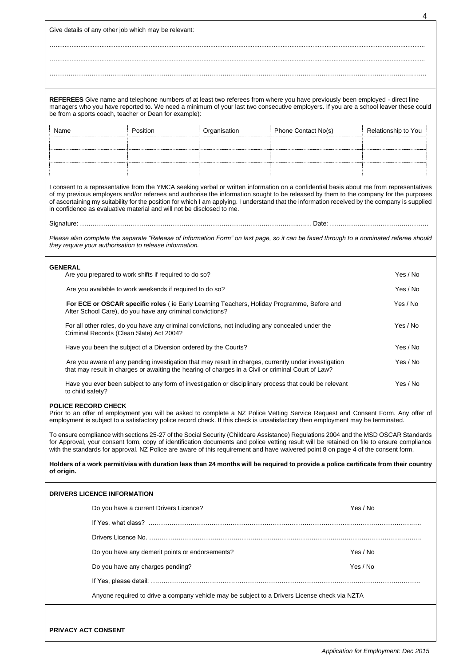Give details of any other job which may be relevant:

…..................................................................................................................................................................................................................

**REFEREES** Give name and telephone numbers of at least two referees from where you have previously been employed - direct line managers who you have reported to. We need a minimum of your last two consecutive employers. If you are a school leaver these could be from a sports coach, teacher or Dean for example):

….................................................................................................................................................................................................................. ……………………………………………………………………………………………………………………………………………………….…….

| Name | Position | Organisation | Phone Contact No(s) | Relationship to You |
|------|----------|--------------|---------------------|---------------------|
|      |          |              |                     |                     |
|      |          |              |                     |                     |
|      |          |              |                     |                     |

I consent to a representative from the YMCA seeking verbal or written information on a confidential basis about me from representatives of my previous employers and/or referees and authorise the information sought to be released by them to the company for the purposes of ascertaining my suitability for the position for which I am applying. I understand that the information received by the company is supplied in confidence as evaluative material and will not be disclosed to me.

Signature: …………………………………………………………………………………………..…… Date: …………………………….………….

*Please also complete the separate "Release of Information Form" on last page, so it can be faxed through to a nominated referee should they require your authorisation to release information.*

## **GENERAL**

| Are you prepared to work shifts if required to do so?                                                                                                                                                      | Yes / No |
|------------------------------------------------------------------------------------------------------------------------------------------------------------------------------------------------------------|----------|
| Are you available to work weekends if required to do so?                                                                                                                                                   | Yes / No |
| <b>For ECE or OSCAR specific roles</b> (ie Early Learning Teachers, Holiday Programme, Before and<br>After School Care), do you have any criminal convictions?                                             | Yes / No |
| For all other roles, do you have any criminal convictions, not including any concealed under the<br>Criminal Records (Clean Slate) Act 2004?                                                               | Yes / No |
| Have you been the subject of a Diversion ordered by the Courts?                                                                                                                                            | Yes / No |
| Are you aware of any pending investigation that may result in charges, currently under investigation<br>that may result in charges or awaiting the hearing of charges in a Civil or criminal Court of Law? | Yes / No |
| Have you ever been subject to any form of investigation or disciplinary process that could be relevant                                                                                                     | Yes / No |

## to child safety? **POLICE RECORD CHECK**

Prior to an offer of employment you will be asked to complete a NZ Police Vetting Service Request and Consent Form. Any offer of employment is subject to a satisfactory police record check. If this check is unsatisfactory then employment may be terminated.

To ensure compliance with sections 25-27 of the Social Security (Childcare Assistance) Regulations 2004 and the MSD OSCAR Standards for Approval, your consent form, copy of identification documents and police vetting result will be retained on file to ensure compliance with the standards for approval. NZ Police are aware of this requirement and have waivered point 8 on page 4 of the consent form.

**Holders of a work permit/visa with duration less than 24 months will be required to provide a police certificate from their country of origin.**

## **DRIVERS LICENCE INFORMATION**

| Do you have a current Drivers Licence?                                                        | Yes / No |
|-----------------------------------------------------------------------------------------------|----------|
|                                                                                               |          |
|                                                                                               |          |
| Do you have any demerit points or endorsements?                                               | Yes / No |
| Do you have any charges pending?                                                              | Yes / No |
|                                                                                               |          |
| Anyone required to drive a company vehicle may be subject to a Drivers License check via NZTA |          |

4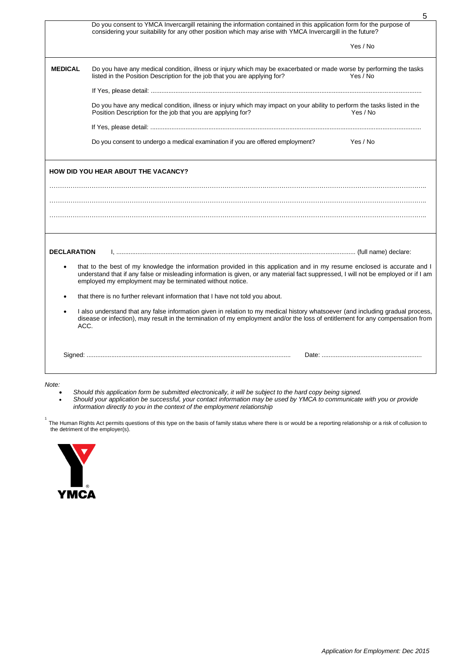|                    | 5                                                                                                                                                                                                                                                                                                                            |
|--------------------|------------------------------------------------------------------------------------------------------------------------------------------------------------------------------------------------------------------------------------------------------------------------------------------------------------------------------|
|                    | Do you consent to YMCA Invercargill retaining the information contained in this application form for the purpose of<br>considering your suitability for any other position which may arise with YMCA Invercargill in the future?                                                                                             |
|                    | Yes / No                                                                                                                                                                                                                                                                                                                     |
| <b>MEDICAL</b>     | Do you have any medical condition, illness or injury which may be exacerbated or made worse by performing the tasks<br>listed in the Position Description for the job that you are applying for?<br>Yes / No                                                                                                                 |
|                    |                                                                                                                                                                                                                                                                                                                              |
|                    | Do you have any medical condition, illness or injury which may impact on your ability to perform the tasks listed in the<br>Position Description for the job that you are applying for?<br>Yes / No                                                                                                                          |
|                    |                                                                                                                                                                                                                                                                                                                              |
|                    | Do you consent to undergo a medical examination if you are offered employment?<br>Yes / No                                                                                                                                                                                                                                   |
|                    |                                                                                                                                                                                                                                                                                                                              |
| <b>DECLARATION</b> |                                                                                                                                                                                                                                                                                                                              |
|                    | that to the best of my knowledge the information provided in this application and in my resume enclosed is accurate and I<br>understand that if any false or misleading information is given, or any material fact suppressed, I will not be employed or if I am<br>employed my employment may be terminated without notice. |
|                    | that there is no further relevant information that I have not told you about.                                                                                                                                                                                                                                                |
| ACC.               | I also understand that any false information given in relation to my medical history whatsoever (and including gradual process,<br>disease or infection), may result in the termination of my employment and/or the loss of entitlement for any compensation from                                                            |
|                    |                                                                                                                                                                                                                                                                                                                              |
|                    |                                                                                                                                                                                                                                                                                                                              |

## *Note:*

- *Should this application form be submitted electronically, it will be subject to the hard copy being signed.*
- *Should your application be successful, your contact information may be used by YMCA to communicate with you or provide information directly to you in the context of the employment relationship*

1<br>The Human Rights Act permits questions of this type on the basis of family status where there is or would be a reporting relationship or a risk of collusion to the detriment of the employer(s).